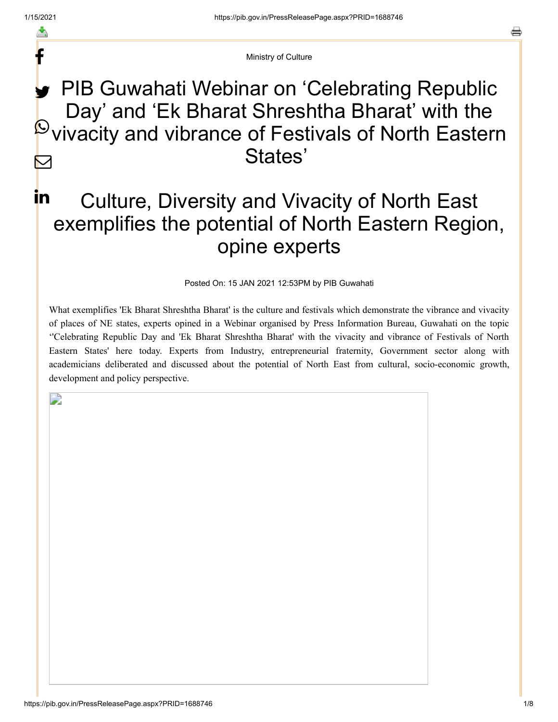f

Ministry of Culture

## PIB Guwahati Webinar on 'Celebrating Republic Day' and 'Ek Bharat Shreshtha Bharat' with the  $\mathbb P$  vivacity and vibrance of Festivals of North Eastern States'  $\bm \boxtimes$

## Culture, Diversity and Vivacity of North East exemplifies the potential of North Eastern Region, opine experts in.

Posted On: 15 JAN 2021 12:53PM by PIB Guwahati

What exemplifies 'Ek Bharat Shreshtha Bharat' is the culture and festivals which demonstrate the vibrance and vivacity of places of NE states, experts opined in a Webinar organised by Press Information Bureau, Guwahati on the topic ''Celebrating Republic Day and 'Ek Bharat Shreshtha Bharat' with the vivacity and vibrance of Festivals of North Eastern States' here today. Experts from Industry, entrepreneurial fraternity, Government sector along with academicians deliberated and discussed about the potential of North East from cultural, socio-economic growth, development and policy perspective.

 $\Box$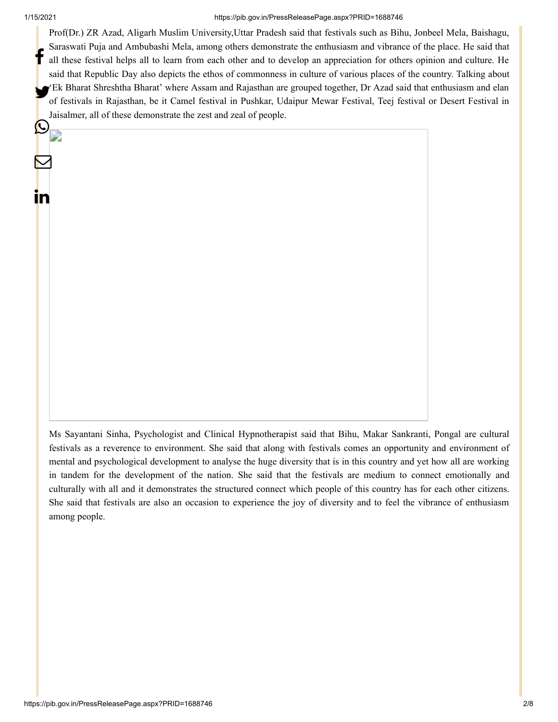$\boldsymbol{\varphi}_{\mathbb{R}}$ 

 $\mathbf \Xi$ 

in

## 1/15/2021 https://pib.gov.in/PressReleasePage.aspx?PRID=1688746

Prof(Dr.) ZR Azad, Aligarh Muslim University,Uttar Pradesh said that festivals such as Bihu, Jonbeel Mela, Baishagu, Saraswati Puja and Ambubashi Mela, among others demonstrate the enthusiasm and vibrance of the place. He said that all these festival helps all to learn from each other and to develop an appreciation for others opinion and culture. He said that Republic Day also depicts the ethos of commonness in culture of various places of the country. Talking about 'Ek Bharat Shreshtha Bharat' where Assam and Rajasthan are grouped together, Dr Azad said that enthusiasm and elan<br>A fectively in Bajasthan, ha it Gamal fectivel in Bucklea, Udainus Mayor Fectivel, Tasi fectivel en Decent of festivals in Rajasthan, be it Camel festival in Pushkar, Udaipur Mewar Festival, Teej festival or Desert Festival in Jaisalmer, all of these demonstrate the zest and zeal of people. f

Ms Sayantani Sinha, Psychologist and Clinical Hypnotherapist said that Bihu, Makar Sankranti, Pongal are cultural festivals as a reverence to environment. She said that along with festivals comes an opportunity and environment of mental and psychological development to analyse the huge diversity that is in this country and yet how all are working in tandem for the development of the nation. She said that the festivals are medium to connect emotionally and culturally with all and it demonstrates the structured connect which people of this country has for each other citizens. She said that festivals are also an occasion to experience the joy of diversity and to feel the vibrance of enthusiasm among people.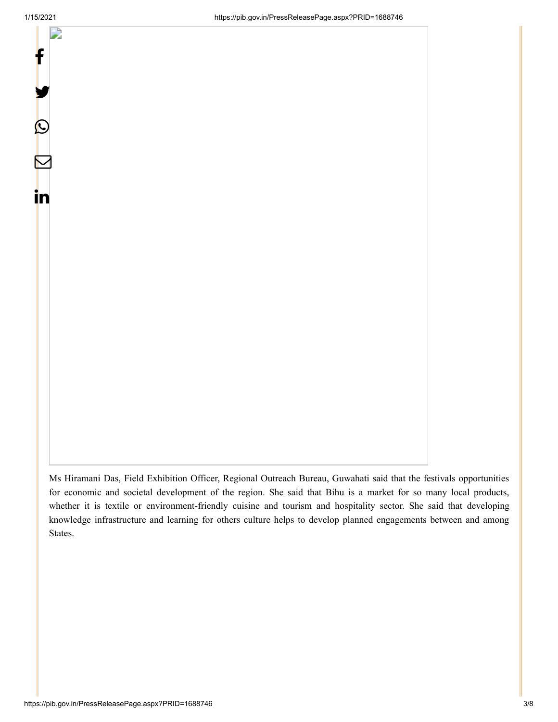

Ms Hiramani Das, Field Exhibition Officer, Regional Outreach Bureau, Guwahati said that the festivals opportunities for economic and societal development of the region. She said that Bihu is a market for so many local products, whether it is textile or environment-friendly cuisine and tourism and hospitality sector. She said that developing knowledge infrastructure and learning for others culture helps to develop planned engagements between and among States.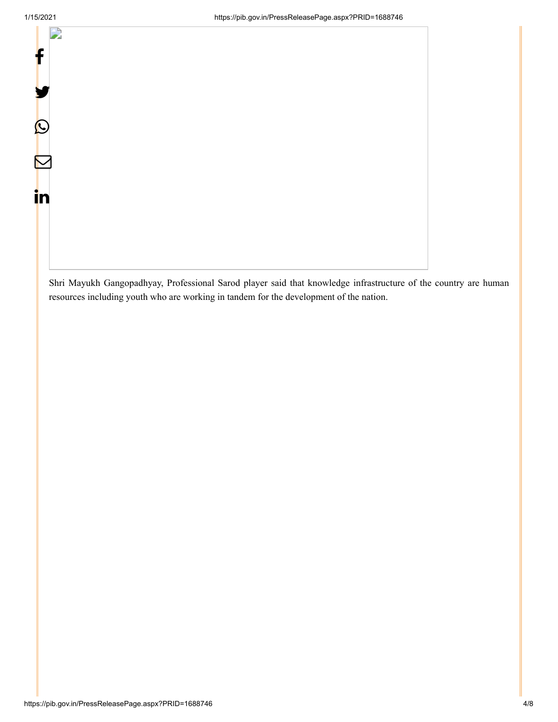f

L)

У.

 $\bm{\mathcal{O}}$ 

 $\mathbf \Xi$ 

in

Shri Mayukh Gangopadhyay, Professional Sarod player said that knowledge infrastructure of the country are human resources including youth who are working in tandem for the development of the nation.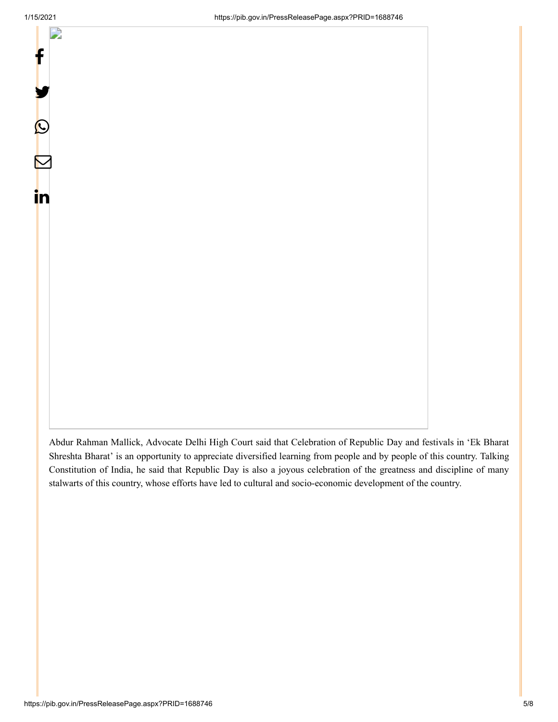

Abdur Rahman Mallick, Advocate Delhi High Court said that Celebration of Republic Day and festivals in 'Ek Bharat Shreshta Bharat' is an opportunity to appreciate diversified learning from people and by people of this country. Talking Constitution of India, he said that Republic Day is also a joyous celebration of the greatness and discipline of many stalwarts of this country, whose efforts have led to cultural and socio-economic development of the country.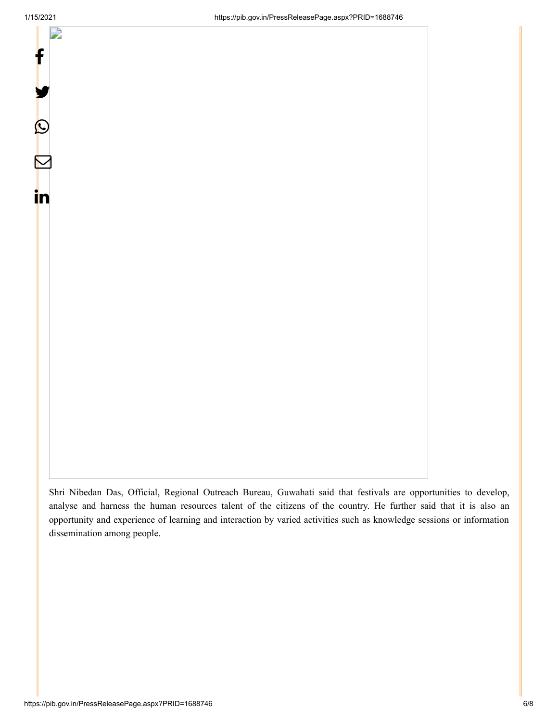

Shri Nibedan Das, Official, Regional Outreach Bureau, Guwahati said that festivals are opportunities to develop, analyse and harness the human resources talent of the citizens of the country. He further said that it is also an opportunity and experience of learning and interaction by varied activities such as knowledge sessions or information dissemination among people.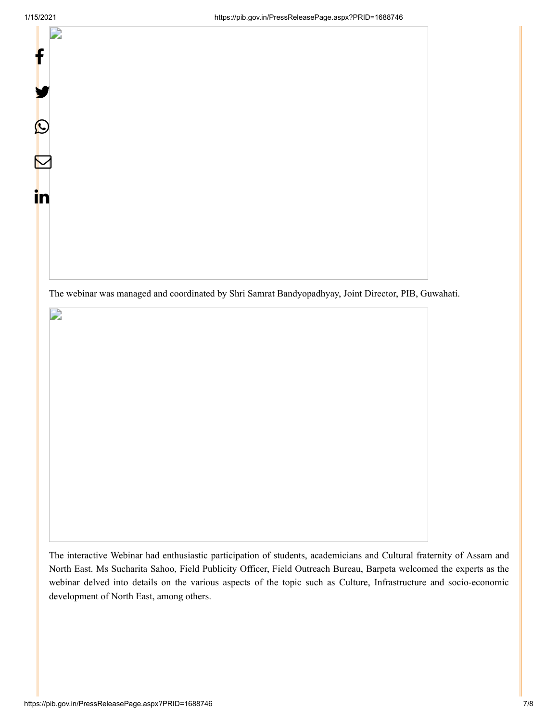$\mathsf{f}$ 

У.

 $\bm{\mathcal{O}}$ 

 $\mathbf \Xi$ 

in

 $\Box$ 

The webinar was managed and coordinated by Shri Samrat Bandyopadhyay, Joint Director, PIB, Guwahati.

The interactive Webinar had enthusiastic participation of students, academicians and Cultural fraternity of Assam and North East. Ms Sucharita Sahoo, Field Publicity Officer, Field Outreach Bureau, Barpeta welcomed the experts as the webinar delved into details on the various aspects of the topic such as Culture, Infrastructure and socio-economic development of North East, among others.